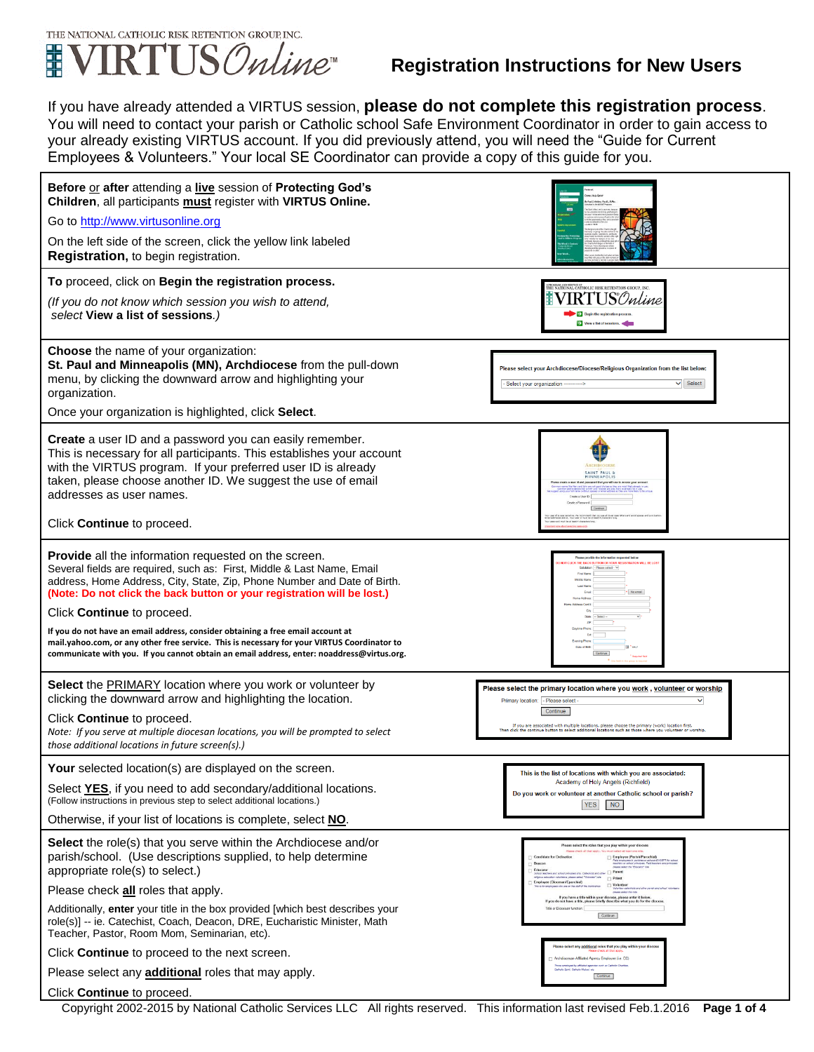

If you have already attended a VIRTUS session, **please do not complete this registration process**. You will need to contact your parish or Catholic school Safe Environment Coordinator in order to gain access to your already existing VIRTUS account. If you did previously attend, you will need the "Guide for Current Employees & Volunteers." Your local SE Coordinator can provide a copy of this guide for you.



Copyright 2002-2015 by National Catholic Services LLC All rights reserved. This information last revised Feb.1.2016 **Page 1 of 4**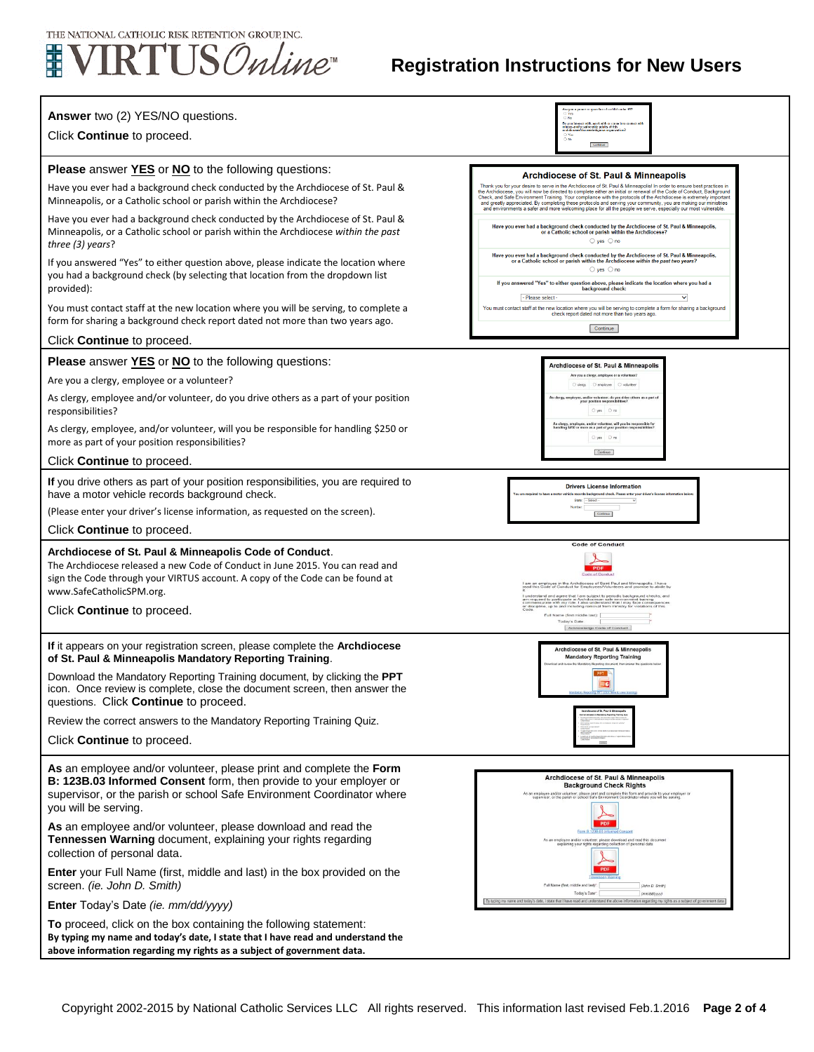

## **Registration Instructions for New Users**

| Answer two (2) YES/NO questions.<br>Click Continue to proceed.                                                                                                                                                                                       | ius of a child auder 18<br>hors and/or vulnerable adults of this<br>$\supset$ Yes<br>$\sim$ M-<br>Continue                                                                                                                                                                                                                                                                                                                                                                                                                                   |
|------------------------------------------------------------------------------------------------------------------------------------------------------------------------------------------------------------------------------------------------------|----------------------------------------------------------------------------------------------------------------------------------------------------------------------------------------------------------------------------------------------------------------------------------------------------------------------------------------------------------------------------------------------------------------------------------------------------------------------------------------------------------------------------------------------|
| <b>Please</b> answer <b>YES</b> or <b>NO</b> to the following questions:                                                                                                                                                                             |                                                                                                                                                                                                                                                                                                                                                                                                                                                                                                                                              |
| Have you ever had a background check conducted by the Archdiocese of St. Paul &<br>Minneapolis, or a Catholic school or parish within the Archdiocese?                                                                                               | <b>Archdiocese of St. Paul &amp; Minneapolis</b><br>Thank you for your desire to serve in the Archdiocese of St. Paul & Minneapolis! In order to ensure best practices in<br>the Archdiocese, you will now be directed to complete either an initial or renewal of the Code of Conduct, Background<br>Check, and Safe Environment Training. Your compliance with the protocols of the Archdiocese is extremely important<br>and greatly appreciated. By completing these protocols and serving your community, you are making our ministries |
| Have you ever had a background check conducted by the Archdiocese of St. Paul &<br>Minneapolis, or a Catholic school or parish within the Archdiocese within the past<br>three $(3)$ years?                                                          | and environments a safer and more welcoming place for all the people we serve, especially our most vulnerable.<br>Have you ever had a background check conducted by the Archdiocese of St. Paul & Minneapolis,<br>or a Catholic school or parish within the Archdiocese?<br>$\bigcirc$ yes $\bigcirc$ no                                                                                                                                                                                                                                     |
| If you answered "Yes" to either question above, please indicate the location where<br>you had a background check (by selecting that location from the dropdown list<br>provided):                                                                    | Have you ever had a background check conducted by the Archdiocese of St. Paul & Minneapolis,<br>or a Catholic school or parish within the Archdiocese within the past two years?<br>$\bigcirc$ yes $\bigcirc$ no<br>If you answered "Yes" to either question above, please indicate the location where you had a<br>background check:<br>- Please select -                                                                                                                                                                                   |
| You must contact staff at the new location where you will be serving, to complete a<br>form for sharing a background check report dated not more than two years ago.                                                                                 | You must contact staff at the new location where you will be serving to complete a form for sharing a background<br>check report dated not more than two years ago.<br>Continue                                                                                                                                                                                                                                                                                                                                                              |
| Click <b>Continue</b> to proceed.                                                                                                                                                                                                                    |                                                                                                                                                                                                                                                                                                                                                                                                                                                                                                                                              |
| <b>Please</b> answer <b>YES</b> or <b>NO</b> to the following questions:                                                                                                                                                                             | Archdiocese of St. Paul & Minneapolis                                                                                                                                                                                                                                                                                                                                                                                                                                                                                                        |
| Are you a clergy, employee or a volunteer?                                                                                                                                                                                                           | Are you a clergy, employee or a volunteer<br>C clergy C employee C voluntee                                                                                                                                                                                                                                                                                                                                                                                                                                                                  |
| As clergy, employee and/or volunteer, do you drive others as a part of your position<br>responsibilities?                                                                                                                                            | As clorgy, employee, and/or volunteer, do you drive others as a part of<br>your position respon<br>Oyes Ono                                                                                                                                                                                                                                                                                                                                                                                                                                  |
| As clergy, employee, and/or volunteer, will you be responsible for handling \$250 or<br>more as part of your position responsibilities?                                                                                                              | .<br>As clergy, employee, and/or volunteer, will you be responsibilities?<br>handling \$250 or more as a part of your position responsibilities?<br>Oyes Ons                                                                                                                                                                                                                                                                                                                                                                                 |
| Click <b>Continue</b> to proceed.                                                                                                                                                                                                                    | Continue                                                                                                                                                                                                                                                                                                                                                                                                                                                                                                                                     |
| If you drive others as part of your position responsibilities, you are required to<br>have a motor vehicle records background check.                                                                                                                 | <b>Drivers License Information</b><br>ords background check. Please enter your driver's li<br>State: - Select                                                                                                                                                                                                                                                                                                                                                                                                                                |
| (Please enter your driver's license information, as requested on the screen).                                                                                                                                                                        | Continue                                                                                                                                                                                                                                                                                                                                                                                                                                                                                                                                     |
| Click <b>Continue</b> to proceed.                                                                                                                                                                                                                    |                                                                                                                                                                                                                                                                                                                                                                                                                                                                                                                                              |
| Archdiocese of St. Paul & Minneapolis Code of Conduct.<br>The Archdiocese released a new Code of Conduct in June 2015. You can read and<br>sign the Code through your VIRTUS account. A copy of the Code can be found at<br>www.SafeCatholicSPM.org. | <b>Code of Conduct</b><br>Code of Co.<br>am an employee in the Archdiocese of Saint Paul and Minneapolis. I have<br>read this Code of Conduct for Employees/Volunteers and promise to abide                                                                                                                                                                                                                                                                                                                                                  |
| Click <b>Continue</b> to proceed.                                                                                                                                                                                                                    | te with my role. I also understand that I may face cons<br>up to and including removal from ministry for violation<br>Full Name (first middle last):<br>Today's Date<br>Acknowledge Code of Conduct                                                                                                                                                                                                                                                                                                                                          |
| If it appears on your registration screen, please complete the Archdiocese<br>of St. Paul & Minneapolis Mandatory Reporting Training.                                                                                                                | Archdiocese of St. Paul & Minneapolis<br><b>Mandatory Reporting Training</b>                                                                                                                                                                                                                                                                                                                                                                                                                                                                 |
| Download the Mandatory Reporting Training document, by clicking the <b>PPT</b><br>icon. Once review is complete, close the document screen, then answer the<br>questions. Click Continue to proceed.                                                 | <b>PPT</b><br>EC                                                                                                                                                                                                                                                                                                                                                                                                                                                                                                                             |
| Review the correct answers to the Mandatory Reporting Training Quiz.                                                                                                                                                                                 |                                                                                                                                                                                                                                                                                                                                                                                                                                                                                                                                              |
| Click <b>Continue</b> to proceed.                                                                                                                                                                                                                    |                                                                                                                                                                                                                                                                                                                                                                                                                                                                                                                                              |
| As an employee and/or volunteer, please print and complete the Form<br>B: 123B.03 Informed Consent form, then provide to your employer or<br>supervisor, or the parish or school Safe Environment Coordinator where<br>you will be serving.          | Archdiocese of St. Paul & Minneapolis<br><b>Background Check Rights</b><br>As an employee and/or volunteer, please print and complete this form and provide to your employer or<br>supervisor, or the parish or school Safe Environment Coordinator where you will be serving.                                                                                                                                                                                                                                                               |
| As an employee and/or volunteer, please download and read the<br>Tennessen Warning document, explaining your rights regarding<br>collection of personal data.                                                                                        | Form B.123B.03 Informa<br>As an employee and/or volunteer, please download and read this doct<br>explaining your rights regarding collection of personal data                                                                                                                                                                                                                                                                                                                                                                                |
| <b>Enter</b> your Full Name (first, middle and last) in the box provided on the<br>screen. (ie. John D. Smith)                                                                                                                                       | Full Name (first, middle and last)".<br>(John D. Smith)<br>Today's Date"<br>(mm/dd/ww)                                                                                                                                                                                                                                                                                                                                                                                                                                                       |
| Enter Today's Date (ie. mm/dd/yyyy)                                                                                                                                                                                                                  | By typing my name and today's date, I state that I have read and understand the above information regarding my rights as a subject of government data                                                                                                                                                                                                                                                                                                                                                                                        |
| To proceed, click on the box containing the following statement:<br>By typing my name and today's date, I state that I have read and understand the<br>above information regarding my rights as a subject of government data.                        |                                                                                                                                                                                                                                                                                                                                                                                                                                                                                                                                              |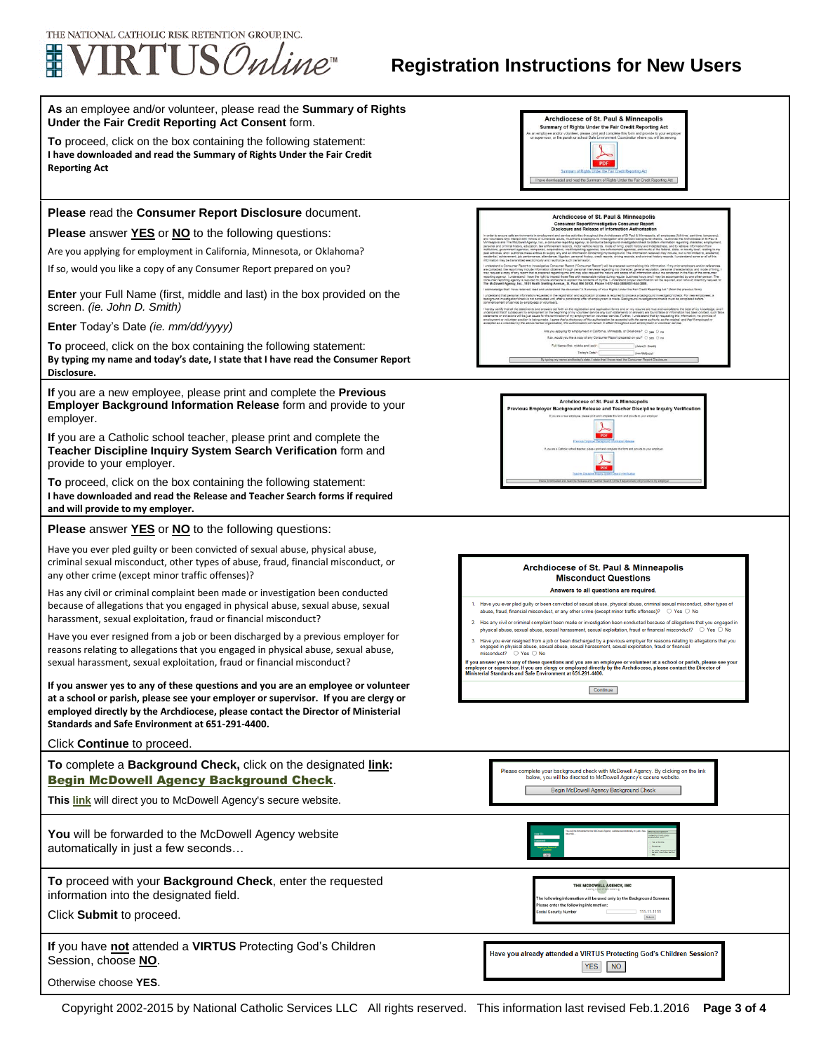

## **Registration Instructions for New Users**

| As an employee and/or volunteer, please read the Summary of Rights<br>Under the Fair Credit Reporting Act Consent form.                                                                                                                                                                                        | Archdiocese of St. Paul & Minneapolis<br>Summary of Rights Under the Fair Credit Reporting Act                                                                                                                                                                                                                                                                                                                                                                                                                                                                                             |
|----------------------------------------------------------------------------------------------------------------------------------------------------------------------------------------------------------------------------------------------------------------------------------------------------------------|--------------------------------------------------------------------------------------------------------------------------------------------------------------------------------------------------------------------------------------------------------------------------------------------------------------------------------------------------------------------------------------------------------------------------------------------------------------------------------------------------------------------------------------------------------------------------------------------|
| <b>To</b> proceed, click on the box containing the following statement:<br>I have downloaded and read the Summary of Rights Under the Fair Credit<br><b>Reporting Act</b>                                                                                                                                      | an employee and/or volunteer, please print and complete this form and provide to your employe<br>Ir supervisor, or the parish or school Safe Environment Coordinator where you will be serving<br>d and read the Summary of Rights Under the Fair Credit                                                                                                                                                                                                                                                                                                                                   |
| Please read the Consumer Report Disclosure document.                                                                                                                                                                                                                                                           |                                                                                                                                                                                                                                                                                                                                                                                                                                                                                                                                                                                            |
| Please answer YES or NO to the following questions:                                                                                                                                                                                                                                                            | Archdiocese of St. Paul & Minneapolis<br>Consumer Report/Investigative Consumer Report<br>Disclosure and Release of Information Authorization<br>It and service activities throughout the Archdiocese of St Paul & Minneapolis, all e                                                                                                                                                                                                                                                                                                                                                      |
| Are you applying for employment in California, Minnesota, or Oklahoma?                                                                                                                                                                                                                                         | sies, and courts at the federal, state                                                                                                                                                                                                                                                                                                                                                                                                                                                                                                                                                     |
| If so, would you like a copy of any Consumer Report prepared on you?                                                                                                                                                                                                                                           | ed regarding me and may also request the nature and scope of all is                                                                                                                                                                                                                                                                                                                                                                                                                                                                                                                        |
| <b>Enter</b> your Full Name (first, middle and last) in the box provided on the<br>screen. (ie. John D. Smith)                                                                                                                                                                                                 | e. St. Paul. MN 55108. Phone 1-877-644-3880/651-644-3880<br>hat I have received, read and understood the document "A Summary of Your Rights Under the Fair Credit Reporting Act." (from the previous form<br>ation requested in the registration and application process is required to process a background inv<br>s not conducted until after a conditional offer of employment is made. Eackground investigations ith<br>lunteer service any such statements or answers are found false or i<br>xioument or volunteer service. Further, I understand that by request                    |
| Enter Today's Date (ie. mm/dd/yyyy)                                                                                                                                                                                                                                                                            | fon. this authorization will remain in effect throughout such er<br>Are you applying for employment in California, Minnesota, or Oklahoma? O yes O in                                                                                                                                                                                                                                                                                                                                                                                                                                      |
| To proceed, click on the box containing the following statement:<br>By typing my name and today's date, I state that I have read the Consumer Report<br>Disclosure.                                                                                                                                            | If so, would you like a copy of any Consumer Report prepared on you? (2) yes (2) no<br>Full Name (first, middle and lastin)<br>Today's Date"<br>By typing my name and                                                                                                                                                                                                                                                                                                                                                                                                                      |
| If you are a new employee, please print and complete the <b>Previous</b><br>Employer Background Information Release form and provide to your<br>employer.                                                                                                                                                      | Archdiocese of St. Paul & Minneapoli:<br>Previous Emplover Background Release and Teacher Discipline Inquiry Verification                                                                                                                                                                                                                                                                                                                                                                                                                                                                  |
| If you are a Catholic school teacher, please print and complete the<br>Teacher Discipline Inquiry System Search Verification form and<br>provide to your employer.                                                                                                                                             |                                                                                                                                                                                                                                                                                                                                                                                                                                                                                                                                                                                            |
| To proceed, click on the box containing the following statement:<br>I have downloaded and read the Release and Teacher Search forms if required<br>and will provide to my employer.                                                                                                                            |                                                                                                                                                                                                                                                                                                                                                                                                                                                                                                                                                                                            |
| <b>Please</b> answer <b>YES</b> or <b>NO</b> to the following questions:                                                                                                                                                                                                                                       |                                                                                                                                                                                                                                                                                                                                                                                                                                                                                                                                                                                            |
| Have you ever pled guilty or been convicted of sexual abuse, physical abuse,<br>criminal sexual misconduct, other types of abuse, fraud, financial misconduct, or<br>any other crime (except minor traffic offenses)?                                                                                          | <b>Archdiocese of St. Paul &amp; Minneapolis</b><br><b>Misconduct Questions</b>                                                                                                                                                                                                                                                                                                                                                                                                                                                                                                            |
| Has any civil or criminal complaint been made or investigation been conducted<br>because of allegations that you engaged in physical abuse, sexual abuse, sexual<br>harassment, sexual exploitation, fraud or financial misconduct?                                                                            | Answers to all questions are required.<br>Have you ever pled guilty or been convicted of sexual abuse, physical abuse, criminal sexual misconduct, other types of<br>2. Has any civil or criminal complaint been made or investigation been conducted because of allegations that you engaged in                                                                                                                                                                                                                                                                                           |
| Have you ever resigned from a job or been discharged by a previous employer for<br>reasons relating to allegations that you engaged in physical abuse, sexual abuse,<br>sexual harassment, sexual exploitation, fraud or financial misconduct?                                                                 | Have you ever resigned from a job or been discharged by a previous employer for reasons relating to allegations that you<br>engaged in physical abuse, sexual abuse, sexual harassment, sexual exploitation, fraud or financial<br>misconduct? $\bigcirc$ Yes $\bigcirc$ No<br>If you answer yes to any of these questions and you are an employee or volunteer at a school or parish, please see your<br>employer or supervisor. If you are clergy or employed directly by the Archdiocese, please contact the Director of<br>Ministerial Standards and Safe Environment at 651-291-4400. |
| If you answer yes to any of these questions and you are an employee or volunteer<br>at a school or parish, please see your employer or supervisor. If you are clergy or<br>employed directly by the Archdiocese, please contact the Director of Ministerial<br>Standards and Safe Environment at 651-291-4400. | Continue                                                                                                                                                                                                                                                                                                                                                                                                                                                                                                                                                                                   |
| Click Continue to proceed.                                                                                                                                                                                                                                                                                     |                                                                                                                                                                                                                                                                                                                                                                                                                                                                                                                                                                                            |
| To complete a Background Check, click on the designated link:<br><b>Begin McDowell Agency Background Check.</b>                                                                                                                                                                                                | Please complete your background check with McDowell Agency. By clicking on the link<br>below, you will be directed to McDowell Agency's secure website<br>Begin McDowell Agency Background Check                                                                                                                                                                                                                                                                                                                                                                                           |
| This link will direct you to McDowell Agency's secure website.                                                                                                                                                                                                                                                 |                                                                                                                                                                                                                                                                                                                                                                                                                                                                                                                                                                                            |
| You will be forwarded to the McDowell Agency website<br>automatically in just a few seconds                                                                                                                                                                                                                    | No. while I recognize the                                                                                                                                                                                                                                                                                                                                                                                                                                                                                                                                                                  |
| To proceed with your Background Check, enter the requested<br>information into the designated field.                                                                                                                                                                                                           | THE MCDOWELL AGENCY, INC<br>he following information will be used only by the Background Screen<br>lease enter the following information<br>111-11-1111                                                                                                                                                                                                                                                                                                                                                                                                                                    |
| Click Submit to proceed.                                                                                                                                                                                                                                                                                       |                                                                                                                                                                                                                                                                                                                                                                                                                                                                                                                                                                                            |
| If you have not attended a VIRTUS Protecting God's Children<br>Session, choose NO.                                                                                                                                                                                                                             | Have you already attended a VIRTUS Protecting God's Children Session?<br>YES NO                                                                                                                                                                                                                                                                                                                                                                                                                                                                                                            |
| Otherwise choose YES.                                                                                                                                                                                                                                                                                          |                                                                                                                                                                                                                                                                                                                                                                                                                                                                                                                                                                                            |